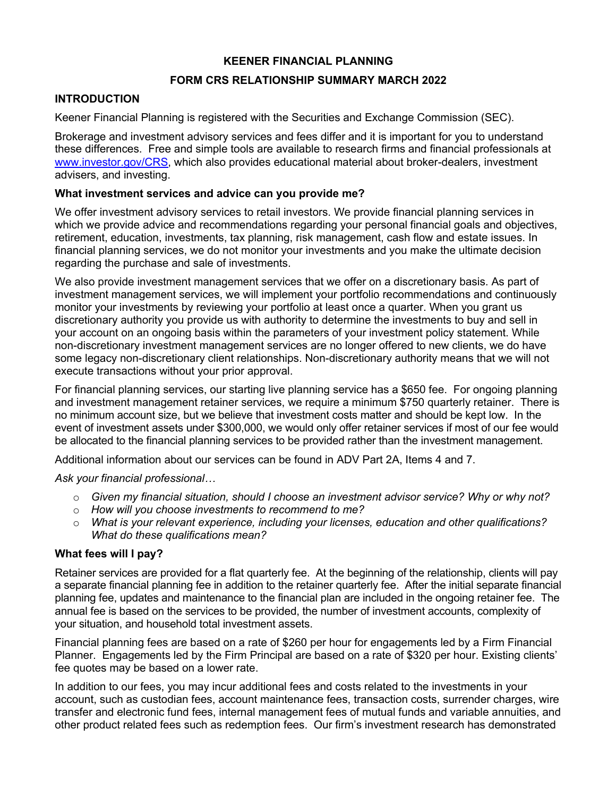## **KEENER FINANCIAL PLANNING**

# **FORM CRS RELATIONSHIP SUMMARY MARCH 2022**

## **INTRODUCTION**

Keener Financial Planning is registered with the Securities and Exchange Commission (SEC).

Brokerage and investment advisory services and fees differ and it is important for you to understand these differences. Free and simple tools are available to research firms and financial professionals at www.investor.gov/CRS, which also provides educational material about broker-dealers, investment advisers, and investing.

## **What investment services and advice can you provide me?**

We offer investment advisory services to retail investors. We provide financial planning services in which we provide advice and recommendations regarding your personal financial goals and objectives, retirement, education, investments, tax planning, risk management, cash flow and estate issues. In financial planning services, we do not monitor your investments and you make the ultimate decision regarding the purchase and sale of investments.

We also provide investment management services that we offer on a discretionary basis. As part of investment management services, we will implement your portfolio recommendations and continuously monitor your investments by reviewing your portfolio at least once a quarter. When you grant us discretionary authority you provide us with authority to determine the investments to buy and sell in your account on an ongoing basis within the parameters of your investment policy statement. While non-discretionary investment management services are no longer offered to new clients, we do have some legacy non-discretionary client relationships. Non-discretionary authority means that we will not execute transactions without your prior approval.

For financial planning services, our starting live planning service has a \$650 fee. For ongoing planning and investment management retainer services, we require a minimum \$750 quarterly retainer. There is no minimum account size, but we believe that investment costs matter and should be kept low. In the event of investment assets under \$300,000, we would only offer retainer services if most of our fee would be allocated to the financial planning services to be provided rather than the investment management.

Additional information about our services can be found in ADV Part 2A, Items 4 and 7.

*Ask your financial professional…*

- o *Given my financial situation, should I choose an investment advisor service? Why or why not?*
- o *How will you choose investments to recommend to me?*
- o *What is your relevant experience, including your licenses, education and other qualifications? What do these qualifications mean?*

### **What fees will I pay?**

Retainer services are provided for a flat quarterly fee. At the beginning of the relationship, clients will pay a separate financial planning fee in addition to the retainer quarterly fee. After the initial separate financial planning fee, updates and maintenance to the financial plan are included in the ongoing retainer fee. The annual fee is based on the services to be provided, the number of investment accounts, complexity of your situation, and household total investment assets.

Financial planning fees are based on a rate of \$260 per hour for engagements led by a Firm Financial Planner. Engagements led by the Firm Principal are based on a rate of \$320 per hour. Existing clients' fee quotes may be based on a lower rate.

In addition to our fees, you may incur additional fees and costs related to the investments in your account, such as custodian fees, account maintenance fees, transaction costs, surrender charges, wire transfer and electronic fund fees, internal management fees of mutual funds and variable annuities, and other product related fees such as redemption fees. Our firm's investment research has demonstrated